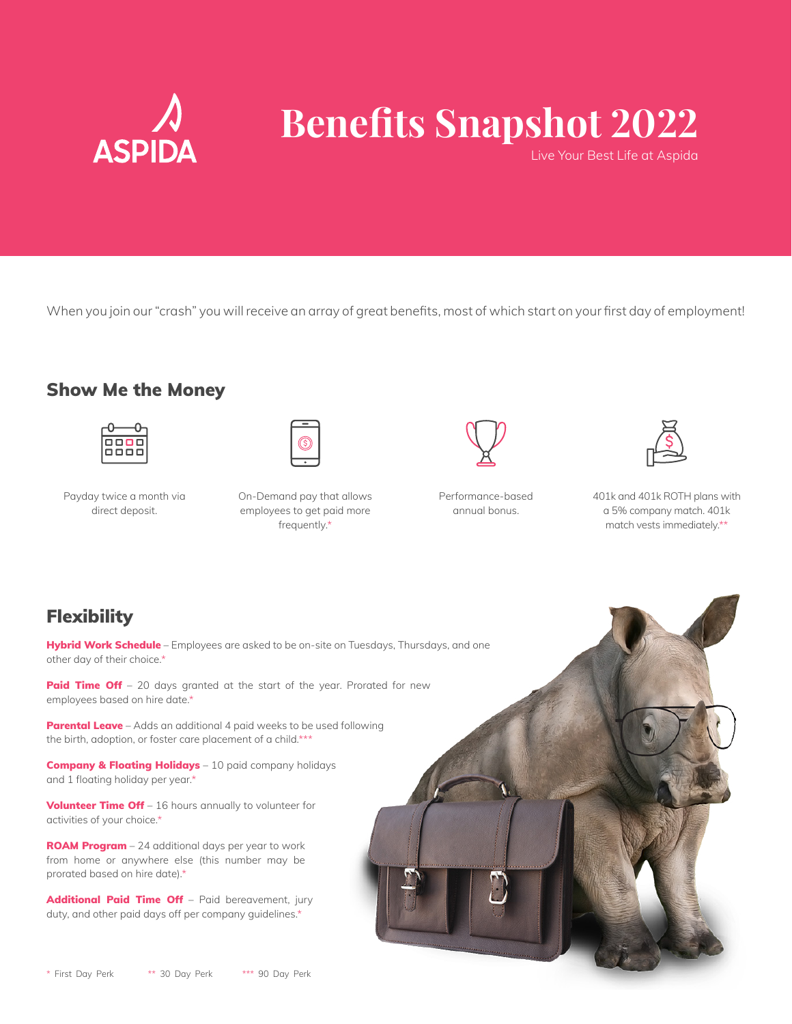

# **Benefits Snapshot 2022**

Live Your Best Life at Aspida

When you join our "crash" you will receive an array of great benefits, most of which start on your first day of employment!

#### Show Me the Money



Payday twice a month via direct deposit.



On-Demand pay that allows employees to get paid more frequently.\*



Performance-based annual bonus.



401k and 401k ROTH plans with a 5% company match. 401k match vests immediately.\*\*

## **Flexibility**

Hybrid Work Schedule – Employees are asked to be on-site on Tuesdays, Thursdays, and one other day of their choice.\*

Paid Time Off - 20 days granted at the start of the year. Prorated for new employees based on hire date.\*

Parental Leave - Adds an additional 4 paid weeks to be used following the birth, adoption, or foster care placement of a child.\*\*\*

**Company & Floating Holidays** – 10 paid company holidays and 1 floating holiday per year.\*

Volunteer Time Off - 16 hours annually to volunteer for activities of your choice.\*

ROAM Program - 24 additional days per year to work from home or anywhere else (this number may be prorated based on hire date).\*

Additional Paid Time Off - Paid bereavement, jury duty, and other paid days off per company guidelines.\*